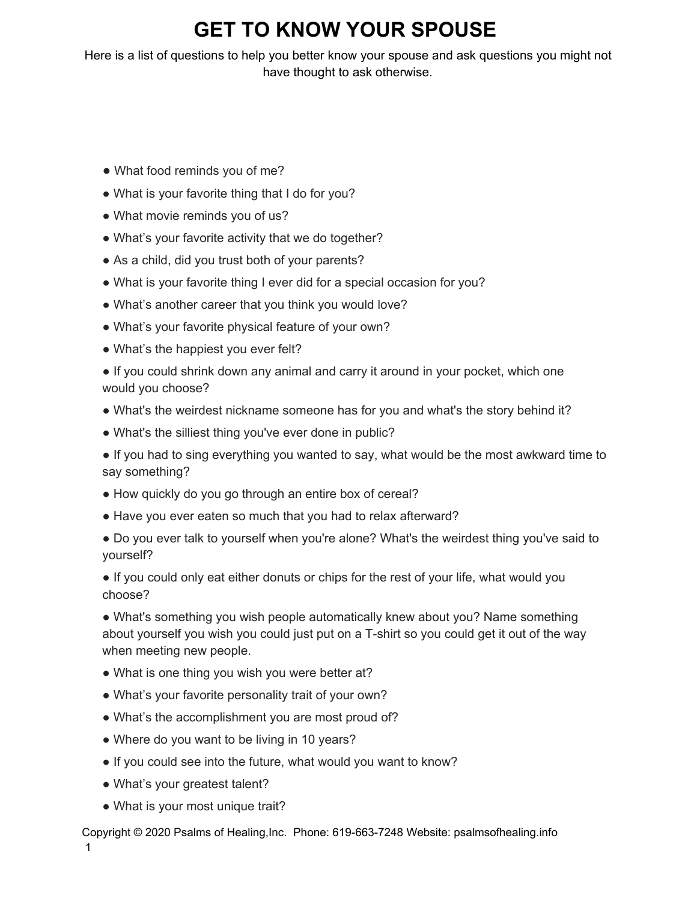## **GET TO KNOW YOUR SPOUSE**

Here is a list of questions to help you better know your spouse and ask questions you might not have thought to ask otherwise.

- What food reminds you of me?
- What is your favorite thing that I do for you?
- What movie reminds you of us?
- What's your favorite activity that we do together?
- As a child, did you trust both of your parents?
- What is your favorite thing I ever did for a special occasion for you?
- What's another career that you think you would love?
- What's your favorite physical feature of your own?
- What's the happiest you ever felt?

• If you could shrink down any animal and carry it around in your pocket, which one would you choose?

- What's the weirdest nickname someone has for you and what's the story behind it?
- What's the silliest thing you've ever done in public?

● If you had to sing everything you wanted to say, what would be the most awkward time to say something?

- How quickly do you go through an entire box of cereal?
- Have you ever eaten so much that you had to relax afterward?

● Do you ever talk to yourself when you're alone? What's the weirdest thing you've said to yourself?

• If you could only eat either donuts or chips for the rest of your life, what would you choose?

• What's something you wish people automatically knew about you? Name something about yourself you wish you could just put on a T-shirt so you could get it out of the way when meeting new people.

- What is one thing you wish you were better at?
- What's your favorite personality trait of your own?
- What's the accomplishment you are most proud of?
- Where do you want to be living in 10 years?
- If you could see into the future, what would you want to know?
- What's your greatest talent?
- What is your most unique trait?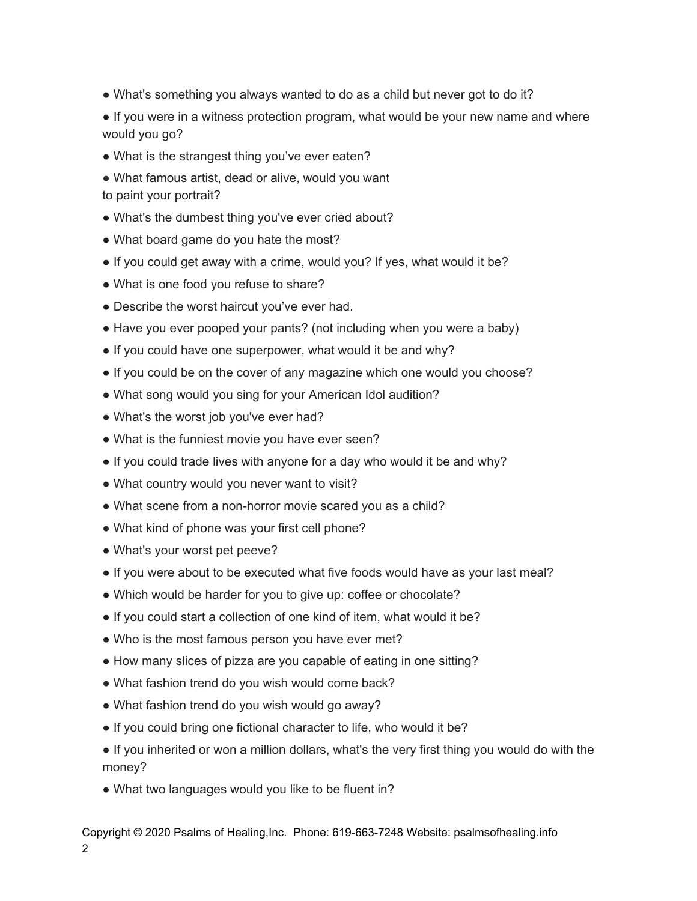• What's something you always wanted to do as a child but never got to do it?

• If you were in a witness protection program, what would be your new name and where would you go?

- What is the strangest thing you've ever eaten?
- What famous artist, dead or alive, would you want to paint your portrait?
- What's the dumbest thing you've ever cried about?
- What board game do you hate the most?
- If you could get away with a crime, would you? If yes, what would it be?
- What is one food you refuse to share?
- Describe the worst haircut you've ever had.
- Have you ever pooped your pants? (not including when you were a baby)
- If you could have one superpower, what would it be and why?
- If you could be on the cover of any magazine which one would you choose?
- What song would you sing for your American Idol audition?
- What's the worst job you've ever had?
- What is the funniest movie you have ever seen?
- If you could trade lives with anyone for a day who would it be and why?
- What country would you never want to visit?
- What scene from a non-horror movie scared you as a child?
- What kind of phone was your first cell phone?
- What's your worst pet peeve?
- If you were about to be executed what five foods would have as your last meal?
- Which would be harder for you to give up: coffee or chocolate?
- If you could start a collection of one kind of item, what would it be?
- Who is the most famous person you have ever met?
- How many slices of pizza are you capable of eating in one sitting?
- What fashion trend do you wish would come back?
- What fashion trend do you wish would go away?
- If you could bring one fictional character to life, who would it be?
- If you inherited or won a million dollars, what's the very first thing you would do with the money?
- What two languages would you like to be fluent in?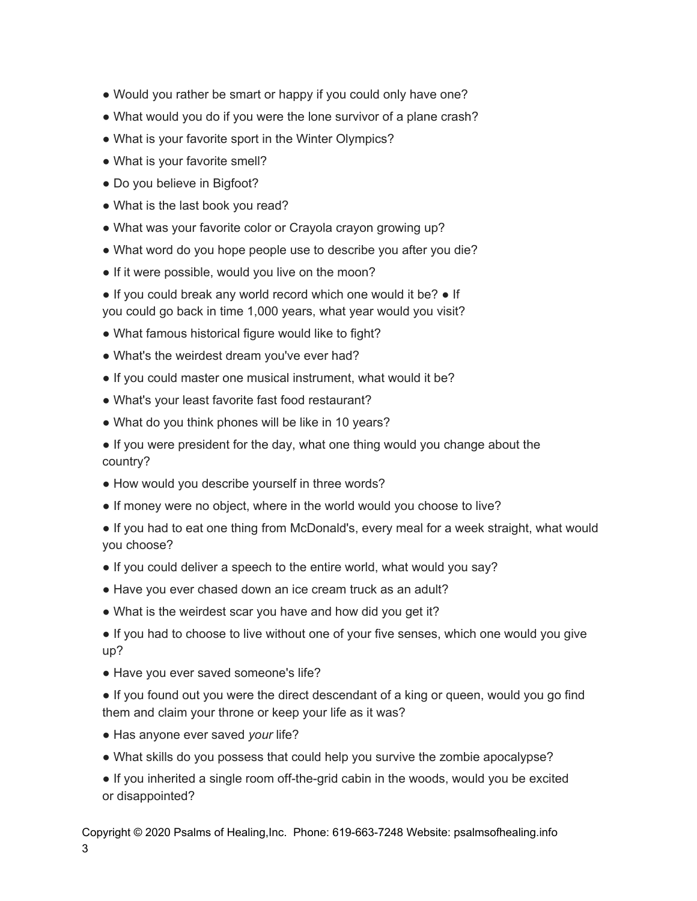- Would you rather be smart or happy if you could only have one?
- What would you do if you were the lone survivor of a plane crash?
- What is your favorite sport in the Winter Olympics?
- What is your favorite smell?
- Do you believe in Bigfoot?
- What is the last book you read?
- What was your favorite color or Crayola crayon growing up?
- What word do you hope people use to describe you after you die?
- If it were possible, would you live on the moon?
- If you could break any world record which one would it be? If you could go back in time 1,000 years, what year would you visit?
- What famous historical figure would like to fight?
- What's the weirdest dream you've ever had?
- If you could master one musical instrument, what would it be?
- What's your least favorite fast food restaurant?
- What do you think phones will be like in 10 years?
- If you were president for the day, what one thing would you change about the country?
- How would you describe yourself in three words?
- If money were no object, where in the world would you choose to live?
- If you had to eat one thing from McDonald's, every meal for a week straight, what would you choose?
- If you could deliver a speech to the entire world, what would you say?
- Have you ever chased down an ice cream truck as an adult?
- What is the weirdest scar you have and how did you get it?
- If you had to choose to live without one of your five senses, which one would you give up?
- Have you ever saved someone's life?
- If you found out you were the direct descendant of a king or queen, would you go find them and claim your throne or keep your life as it was?
- Has anyone ever saved *your* life?
- What skills do you possess that could help you survive the zombie apocalypse?
- If you inherited a single room off-the-grid cabin in the woods, would you be excited or disappointed?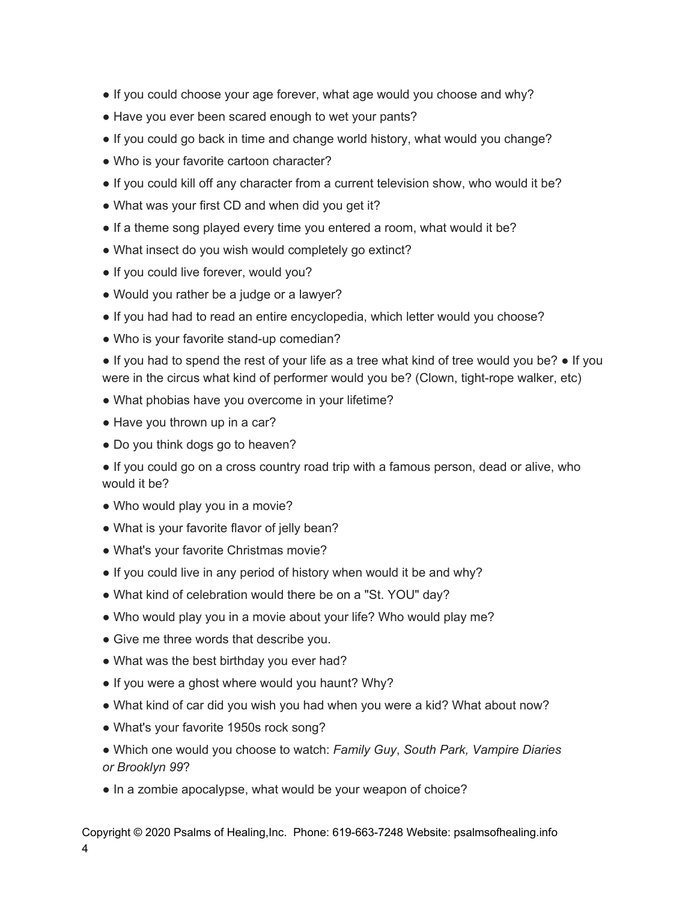- If you could choose your age forever, what age would you choose and why?
- Have you ever been scared enough to wet your pants?
- If you could go back in time and change world history, what would you change?
- Who is your favorite cartoon character?
- If you could kill off any character from a current television show, who would it be?
- What was your first CD and when did you get it?
- If a theme song played every time you entered a room, what would it be?
- What insect do you wish would completely go extinct?
- If you could live forever, would you?
- Would you rather be a judge or a lawyer?
- If you had had to read an entire encyclopedia, which letter would you choose?
- Who is your favorite stand-up comedian?

● If you had to spend the rest of your life as a tree what kind of tree would you be? ● If you were in the circus what kind of performer would you be? (Clown, tight-rope walker, etc)

- What phobias have you overcome in your lifetime?
- Have you thrown up in a car?
- Do you think dogs go to heaven?

● If you could go on a cross country road trip with a famous person, dead or alive, who would it be?

- Who would play you in a movie?
- What is your favorite flavor of jelly bean?
- What's your favorite Christmas movie?
- If you could live in any period of history when would it be and why?
- What kind of celebration would there be on a "St. YOU" day?
- Who would play you in a movie about your life? Who would play me?
- Give me three words that describe you.
- What was the best birthday you ever had?
- If you were a ghost where would you haunt? Why?
- What kind of car did you wish you had when you were a kid? What about now?
- What's your favorite 1950s rock song?
- Which one would you choose to watch: *Family Guy*, *South Park, Vampire Diaries or Brooklyn 99*?
- In a zombie apocalypse, what would be your weapon of choice?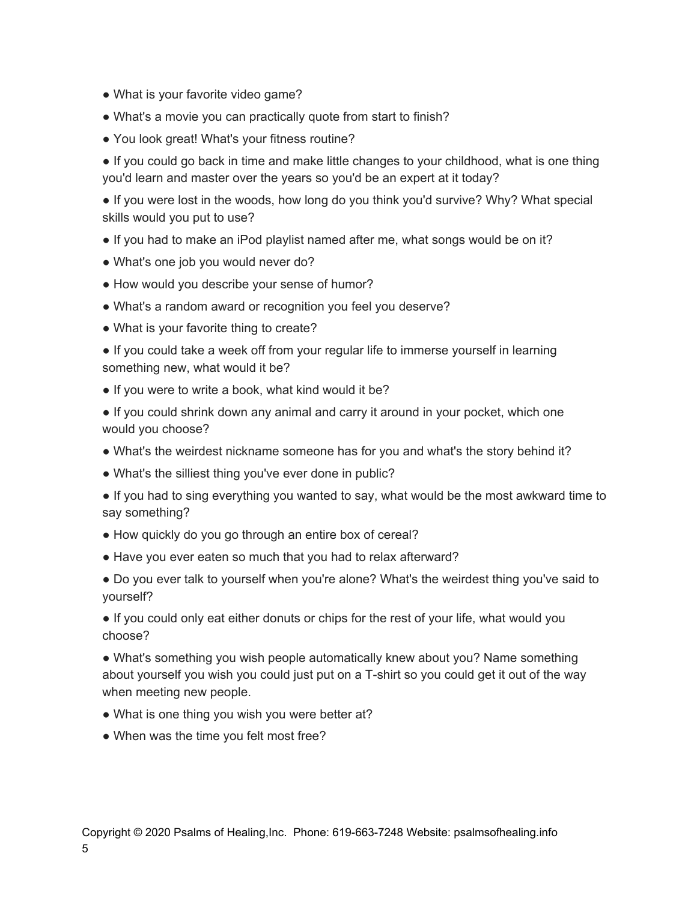- What is your favorite video game?
- What's a movie you can practically quote from start to finish?
- You look great! What's your fitness routine?

● If you could go back in time and make little changes to your childhood, what is one thing you'd learn and master over the years so you'd be an expert at it today?

• If you were lost in the woods, how long do you think you'd survive? Why? What special skills would you put to use?

- If you had to make an iPod playlist named after me, what songs would be on it?
- What's one job you would never do?
- How would you describe your sense of humor?
- What's a random award or recognition you feel you deserve?
- What is your favorite thing to create?

• If you could take a week off from your regular life to immerse yourself in learning something new, what would it be?

• If you were to write a book, what kind would it be?

● If you could shrink down any animal and carry it around in your pocket, which one would you choose?

- What's the weirdest nickname someone has for you and what's the story behind it?
- What's the silliest thing you've ever done in public?
- If you had to sing everything you wanted to say, what would be the most awkward time to say something?
- How quickly do you go through an entire box of cereal?
- Have you ever eaten so much that you had to relax afterward?
- Do you ever talk to yourself when you're alone? What's the weirdest thing you've said to yourself?

● If you could only eat either donuts or chips for the rest of your life, what would you choose?

• What's something you wish people automatically knew about you? Name something about yourself you wish you could just put on a T-shirt so you could get it out of the way when meeting new people.

- What is one thing you wish you were better at?
- When was the time you felt most free?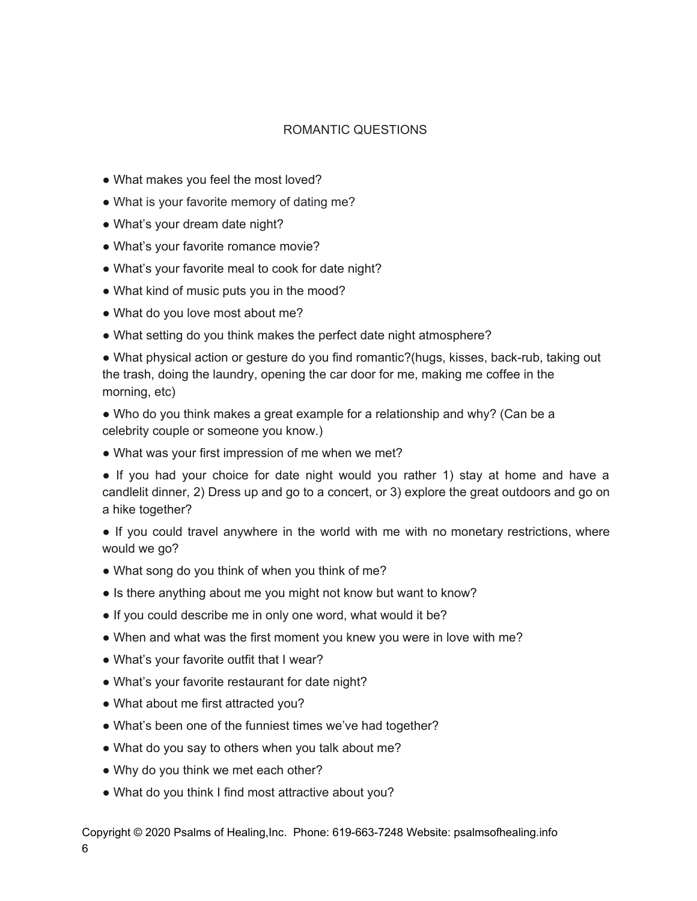## ROMANTIC QUESTIONS

- What makes you feel the most loved?
- What is your favorite memory of dating me?
- What's your dream date night?
- What's your favorite romance movie?
- What's your favorite meal to cook for date night?
- What kind of music puts you in the mood?
- What do you love most about me?
- What setting do you think makes the perfect date night atmosphere?

● What physical action or gesture do you find romantic?(hugs, kisses, back-rub, taking out the trash, doing the laundry, opening the car door for me, making me coffee in the morning, etc)

• Who do you think makes a great example for a relationship and why? (Can be a celebrity couple or someone you know.)

• What was your first impression of me when we met?

● If you had your choice for date night would you rather 1) stay at home and have a candlelit dinner, 2) Dress up and go to a concert, or 3) explore the great outdoors and go on a hike together?

• If you could travel anywhere in the world with me with no monetary restrictions, where would we go?

- What song do you think of when you think of me?
- Is there anything about me you might not know but want to know?
- If you could describe me in only one word, what would it be?
- When and what was the first moment you knew you were in love with me?
- What's your favorite outfit that I wear?
- What's your favorite restaurant for date night?
- What about me first attracted you?
- What's been one of the funniest times we've had together?
- What do you say to others when you talk about me?
- Why do you think we met each other?
- What do you think I find most attractive about you?